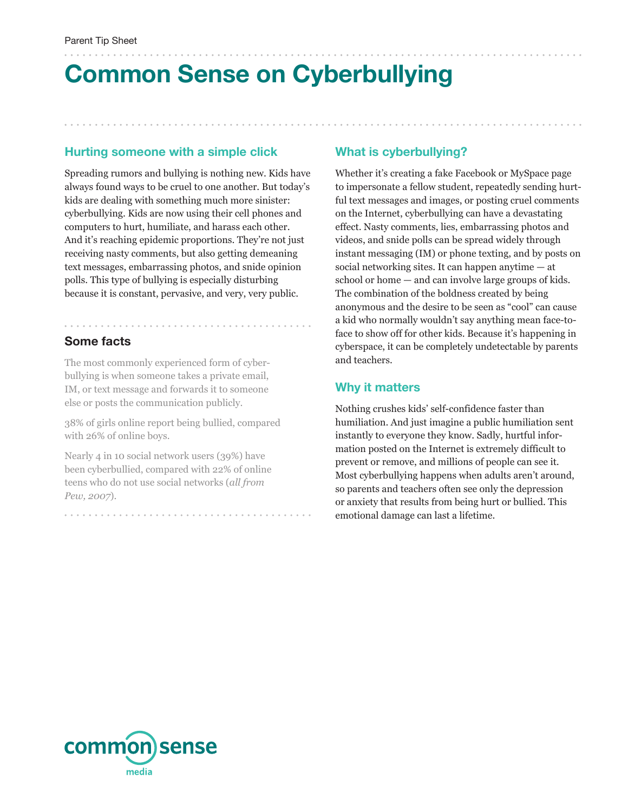# **Common Sense on Cyberbullying**

#### **Hurting someone with a simple click**

Spreading rumors and bullying is nothing new. Kids have always found ways to be cruel to one another. But today's kids are dealing with something much more sinister: cyberbullying. Kids are now using their cell phones and computers to hurt, humiliate, and harass each other. And it's reaching epidemic proportions. They're not just receiving nasty comments, but also getting demeaning text messages, embarrassing photos, and snide opinion polls. This type of bullying is especially disturbing because it is constant, pervasive, and very, very public.

### **Some facts**

The most commonly experienced form of cyberbullying is when someone takes a private email, IM, or text message and forwards it to someone else or posts the communication publicly.

38% of girls online report being bullied, compared with 26% of online boys.

Nearly 4 in 10 social network users (39%) have been cyberbullied, compared with 22% of online teens who do not use social networks (*all from Pew, 2007*).

#### **What is cyberbullying?**

Whether it's creating a fake Facebook or MySpace page to impersonate a fellow student, repeatedly sending hurtful text messages and images, or posting cruel comments on the Internet, cyberbullying can have a devastating effect. Nasty comments, lies, embarrassing photos and videos, and snide polls can be spread widely through instant messaging (IM) or phone texting, and by posts on social networking sites. It can happen anytime — at school or home — and can involve large groups of kids. The combination of the boldness created by being anonymous and the desire to be seen as "cool" can cause a kid who normally wouldn't say anything mean face-toface to show off for other kids. Because it's happening in cyberspace, it can be completely undetectable by parents and teachers.

#### **Why it matters**

Nothing crushes kids' self-confidence faster than humiliation. And just imagine a public humiliation sent instantly to everyone they know. Sadly, hurtful information posted on the Internet is extremely difficult to prevent or remove, and millions of people can see it. Most cyberbullying happens when adults aren't around, so parents and teachers often see only the depression or anxiety that results from being hurt or bullied. This emotional damage can last a lifetime.